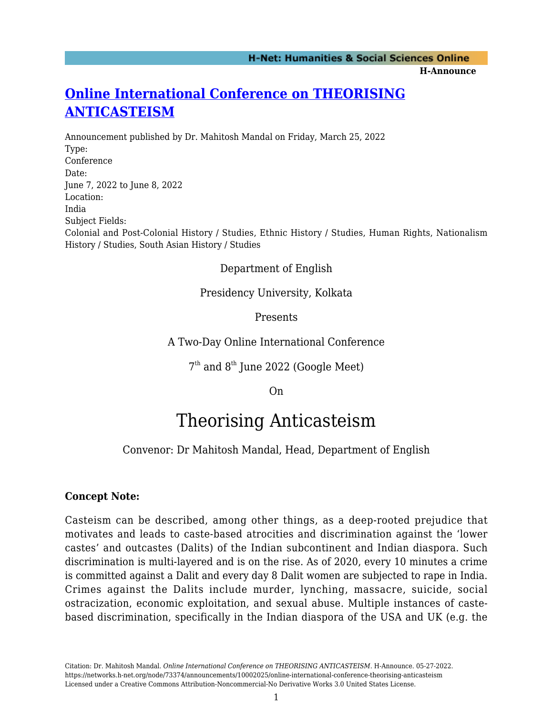## **[Online International Conference on THEORISING](https://networks.h-net.org/node/73374/announcements/10002025/online-international-conference-theorising-anticasteism) [ANTICASTEISM](https://networks.h-net.org/node/73374/announcements/10002025/online-international-conference-theorising-anticasteism)**

Announcement published by Dr. Mahitosh Mandal on Friday, March 25, 2022 Type: Conference Date: June 7, 2022 to June 8, 2022 Location: India Subject Fields: Colonial and Post-Colonial History / Studies, Ethnic History / Studies, Human Rights, Nationalism History / Studies, South Asian History / Studies

Department of English

Presidency University, Kolkata

Presents

A Two-Day Online International Conference

 $7<sup>th</sup>$  and  $8<sup>th</sup>$  June 2022 (Google Meet)

On

# Theorising Anticasteism

### Convenor: Dr Mahitosh Mandal, Head, Department of English

#### **Concept Note:**

Casteism can be described, among other things, as a deep-rooted prejudice that motivates and leads to caste-based atrocities and discrimination against the 'lower castes' and outcastes (Dalits) of the Indian subcontinent and Indian diaspora. Such discrimination is multi-layered and is on the rise. As of 2020, every 10 minutes a crime is committed against a Dalit and every day 8 Dalit women are subjected to rape in India. Crimes against the Dalits include murder, lynching, massacre, suicide, social ostracization, economic exploitation, and sexual abuse. Multiple instances of castebased discrimination, specifically in the Indian diaspora of the USA and UK (e.g. the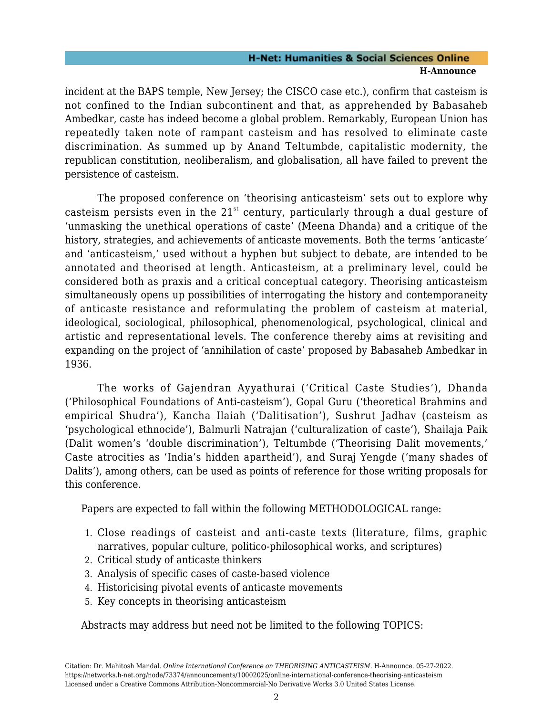#### **H-Net: Humanities & Social Sciences Online H-Announce**

incident at the BAPS temple, New Jersey; the CISCO case etc.), confirm that casteism is not confined to the Indian subcontinent and that, as apprehended by Babasaheb Ambedkar, caste has indeed become a global problem. Remarkably, European Union has repeatedly taken note of rampant casteism and has resolved to eliminate caste discrimination. As summed up by Anand Teltumbde, capitalistic modernity, the republican constitution, neoliberalism, and globalisation, all have failed to prevent the persistence of casteism.

The proposed conference on 'theorising anticasteism' sets out to explore why casteism persists even in the  $21<sup>st</sup>$  century, particularly through a dual gesture of 'unmasking the unethical operations of caste' (Meena Dhanda) and a critique of the history, strategies, and achievements of anticaste movements. Both the terms 'anticaste' and 'anticasteism,' used without a hyphen but subject to debate, are intended to be annotated and theorised at length. Anticasteism, at a preliminary level, could be considered both as praxis and a critical conceptual category. Theorising anticasteism simultaneously opens up possibilities of interrogating the history and contemporaneity of anticaste resistance and reformulating the problem of casteism at material, ideological, sociological, philosophical, phenomenological, psychological, clinical and artistic and representational levels. The conference thereby aims at revisiting and expanding on the project of 'annihilation of caste' proposed by Babasaheb Ambedkar in 1936.

The works of Gajendran Ayyathurai ('Critical Caste Studies'), Dhanda ('Philosophical Foundations of Anti-casteism'), Gopal Guru ('theoretical Brahmins and empirical Shudra'), Kancha Ilaiah ('Dalitisation'), Sushrut Jadhav (casteism as 'psychological ethnocide'), Balmurli Natrajan ('culturalization of caste'), Shailaja Paik (Dalit women's 'double discrimination'), Teltumbde ('Theorising Dalit movements,' Caste atrocities as 'India's hidden apartheid'), and Suraj Yengde ('many shades of Dalits'), among others, can be used as points of reference for those writing proposals for this conference.

Papers are expected to fall within the following METHODOLOGICAL range:

- 1. Close readings of casteist and anti-caste texts (literature, films, graphic narratives, popular culture, politico-philosophical works, and scriptures)
- 2. Critical study of anticaste thinkers
- 3. Analysis of specific cases of caste-based violence
- 4. Historicising pivotal events of anticaste movements
- 5. Key concepts in theorising anticasteism

Abstracts may address but need not be limited to the following TOPICS: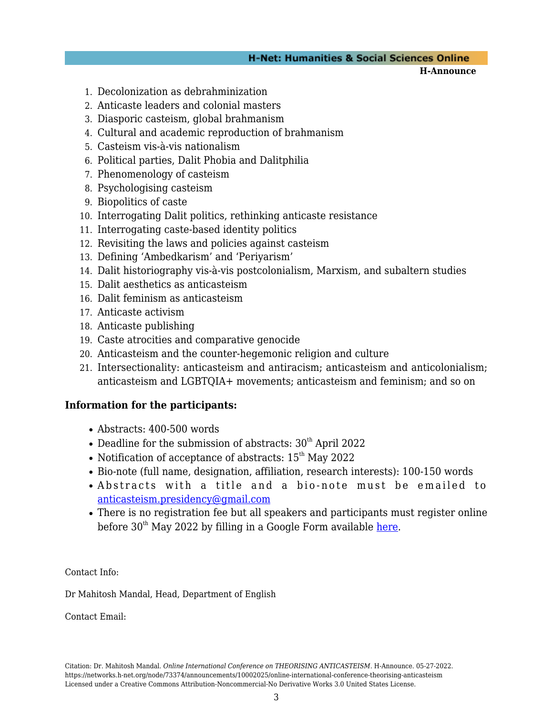#### **H-Net: Humanities & Social Sciences Online**

**H-Announce** 

- 1. Decolonization as debrahminization
- 2. Anticaste leaders and colonial masters
- 3. Diasporic casteism, global brahmanism
- 4. Cultural and academic reproduction of brahmanism
- 5. Casteism vis-à-vis nationalism
- 6. Political parties, Dalit Phobia and Dalitphilia
- 7. Phenomenology of casteism
- 8. Psychologising casteism
- 9. Biopolitics of caste
- 10. Interrogating Dalit politics, rethinking anticaste resistance
- 11. Interrogating caste-based identity politics
- 12. Revisiting the laws and policies against casteism
- 13. Defining 'Ambedkarism' and 'Periyarism'
- 14. Dalit historiography vis-à-vis postcolonialism, Marxism, and subaltern studies
- 15. Dalit aesthetics as anticasteism
- 16. Dalit feminism as anticasteism
- 17. Anticaste activism
- 18. Anticaste publishing
- 19. Caste atrocities and comparative genocide
- 20. Anticasteism and the counter-hegemonic religion and culture
- 21. Intersectionality: anticasteism and antiracism; anticasteism and anticolonialism; anticasteism and LGBTQIA+ movements; anticasteism and feminism; and so on

#### **Information for the participants:**

- Abstracts: 400-500 words
- Deadline for the submission of abstracts:  $30<sup>th</sup>$  April 2022
- Notification of acceptance of abstracts:  $15<sup>th</sup>$  May 2022
- Bio-note (full name, designation, affiliation, research interests): 100-150 words
- Abstracts with a title and a bio-note must be emailed to [anticasteism.presidency@gmail.com](mailto:anticasteism.presidency@gmail.com)
- There is no registration fee but all speakers and participants must register online before  $30<sup>th</sup>$  May 2022 by filling in a Google Form available [here.](https://docs.google.com/forms/d/e/1FAIpQLSctyGyt15eRClHC2Eh_0LLIy--bK-36eWTv-v7QzAI5DQGidg/viewform?usp=sf_link)

Contact Info:

Dr Mahitosh Mandal, Head, Department of English

Contact Email: